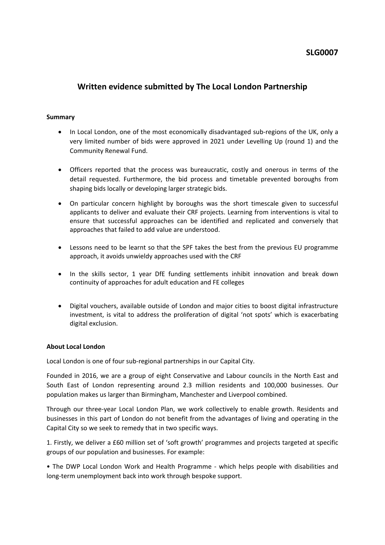# **SLG0007**

# **Written evidence submitted by The Local London Partnership**

#### **Summary**

- In Local London, one of the most economically disadvantaged sub-regions of the UK, only a very limited number of bids were approved in 2021 under Levelling Up (round 1) and the Community Renewal Fund.
- Officers reported that the process was bureaucratic, costly and onerous in terms of the detail requested. Furthermore, the bid process and timetable prevented boroughs from shaping bids locally or developing larger strategic bids.
- On particular concern highlight by boroughs was the short timescale given to successful applicants to deliver and evaluate their CRF projects. Learning from interventions is vital to ensure that successful approaches can be identified and replicated and conversely that approaches that failed to add value are understood.
- Lessons need to be learnt so that the SPF takes the best from the previous EU programme approach, it avoids unwieldy approaches used with the CRF
- In the skills sector, 1 year DfE funding settlements inhibit innovation and break down continuity of approaches for adult education and FE colleges
- Digital vouchers, available outside of London and major cities to boost digital infrastructure investment, is vital to address the proliferation of digital 'not spots' which is exacerbating digital exclusion.

#### **About Local London**

Local London is one of four sub-regional partnerships in our Capital City.

Founded in 2016, we are a group of eight Conservative and Labour councils in the North East and South East of London representing around 2.3 million residents and 100,000 businesses. Our population makes us larger than Birmingham, Manchester and Liverpool combined.

Through our three-year Local London Plan, we work collectively to enable growth. Residents and businesses in this part of London do not benefit from the advantages of living and operating in the Capital City so we seek to remedy that in two specific ways.

1. Firstly, we deliver a £60 million set of 'soft growth' programmes and projects targeted at specific groups of our population and businesses. For example:

• The DWP Local London Work and Health Programme - which helps people with disabilities and long-term unemployment back into work through bespoke support.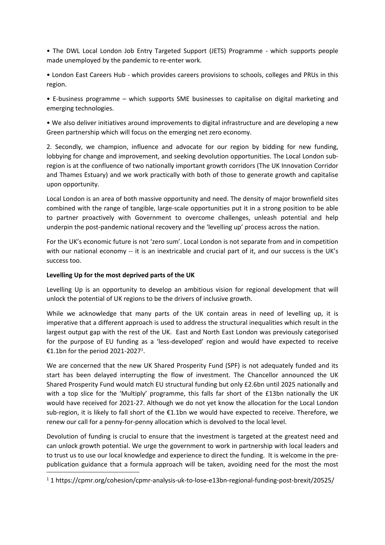• The DWL Local London Job Entry Targeted Support (JETS) Programme - which supports people made unemployed by the pandemic to re-enter work.

• London East Careers Hub - which provides careers provisions to schools, colleges and PRUs in this region.

• E-business programme – which supports SME businesses to capitalise on digital marketing and emerging technologies.

• We also deliver initiatives around improvements to digital infrastructure and are developing a new Green partnership which will focus on the emerging net zero economy.

2. Secondly, we champion, influence and advocate for our region by bidding for new funding, lobbying for change and improvement, and seeking devolution opportunities. The Local London subregion is at the confluence of two nationally important growth corridors (The UK Innovation Corridor and Thames Estuary) and we work practically with both of those to generate growth and capitalise upon opportunity.

Local London is an area of both massive opportunity and need. The density of major brownfield sites combined with the range of tangible, large-scale opportunities put it in a strong position to be able to partner proactively with Government to overcome challenges, unleash potential and help underpin the post-pandemic national recovery and the 'levelling up' process across the nation.

For the UK's economic future is not 'zero sum'. Local London is not separate from and in competition with our national economy -- it is an inextricable and crucial part of it, and our success is the UK's success too.

#### **Levelling Up for the most deprived parts of the UK**

Levelling Up is an opportunity to develop an ambitious vision for regional development that will unlock the potential of UK regions to be the drivers of inclusive growth.

While we acknowledge that many parts of the UK contain areas in need of levelling up, it is imperative that a different approach is used to address the structural inequalities which result in the largest output gap with the rest of the UK. East and North East London was previously categorised for the purpose of EU funding as a 'less-developed' region and would have expected to receive €1.1bn for the period 2021-2027<sup>1</sup>.

We are concerned that the new UK Shared Prosperity Fund (SPF) is not adequately funded and its start has been delayed interrupting the flow of investment. The Chancellor announced the UK Shared Prosperity Fund would match EU structural funding but only £2.6bn until 2025 nationally and with a top slice for the 'Multiply' programme, this falls far short of the £13bn nationally the UK would have received for 2021-27. Although we do not yet know the allocation for the Local London sub-region, it is likely to fall short of the €1.1bn we would have expected to receive. Therefore, we renew our call for a penny-for-penny allocation which is devolved to the local level.

Devolution of funding is crucial to ensure that the investment is targeted at the greatest need and can unlock growth potential. We urge the government to work in partnership with local leaders and to trust us to use our local knowledge and experience to direct the funding. It is welcome in the prepublication guidance that a formula approach will be taken, avoiding need for the most the most

<sup>1</sup> 1 https://cpmr.org/cohesion/cpmr-analysis-uk-to-lose-e13bn-regional-funding-post-brexit/20525/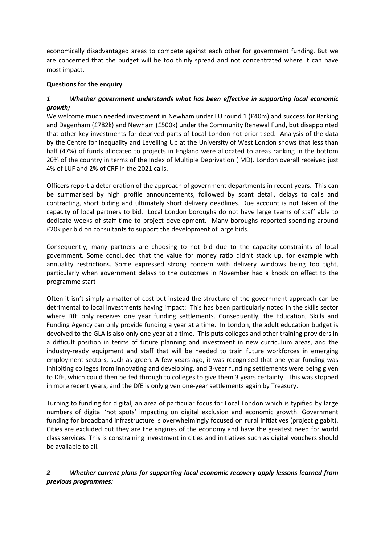economically disadvantaged areas to compete against each other for government funding. But we are concerned that the budget will be too thinly spread and not concentrated where it can have most impact.

### **Questions for the enquiry**

### *1 Whether government understands what has been effective in supporting local economic growth;*

We welcome much needed investment in Newham under LU round 1 (£40m) and success for Barking and Dagenham (£782k) and Newham (£500k) under the Community Renewal Fund, but disappointed that other key investments for deprived parts of Local London not prioritised. Analysis of the data by the Centre for Inequality and Levelling Up at the University of West London shows that less than half (47%) of funds allocated to projects in England were allocated to areas ranking in the bottom 20% of the country in terms of the Index of Multiple Deprivation (IMD). London overall received just 4% of LUF and 2% of CRF in the 2021 calls.

Officers report a deterioration of the approach of government departments in recent years. This can be summarised by high profile announcements, followed by scant detail, delays to calls and contracting, short biding and ultimately short delivery deadlines. Due account is not taken of the capacity of local partners to bid. Local London boroughs do not have large teams of staff able to dedicate weeks of staff time to project development. Many boroughs reported spending around £20k per bid on consultants to support the development of large bids.

Consequently, many partners are choosing to not bid due to the capacity constraints of local government. Some concluded that the value for money ratio didn't stack up, for example with annuality restrictions. Some expressed strong concern with delivery windows being too tight, particularly when government delays to the outcomes in November had a knock on effect to the programme start

Often it isn't simply a matter of cost but instead the structure of the government approach can be detrimental to local investments having impact: This has been particularly noted in the skills sector where DfE only receives one year funding settlements. Consequently, the Education, Skills and Funding Agency can only provide funding a year at a time. In London, the adult education budget is devolved to the GLA is also only one year at a time. This puts colleges and other training providers in a difficult position in terms of future planning and investment in new curriculum areas, and the industry-ready equipment and staff that will be needed to train future workforces in emerging employment sectors, such as green. A few years ago, it was recognised that one year funding was inhibiting colleges from innovating and developing, and 3-year funding settlements were being given to DfE, which could then be fed through to colleges to give them 3 years certainty. This was stopped in more recent years, and the DfE is only given one-year settlements again by Treasury.

Turning to funding for digital, an area of particular focus for Local London which is typified by large numbers of digital 'not spots' impacting on digital exclusion and economic growth. Government funding for broadband infrastructure is overwhelmingly focused on rural initiatives (project gigabit). Cities are excluded but they are the engines of the economy and have the greatest need for world class services. This is constraining investment in cities and initiatives such as digital vouchers should be available to all.

## *2 Whether current plans for supporting local economic recovery apply lessons learned from previous programmes;*